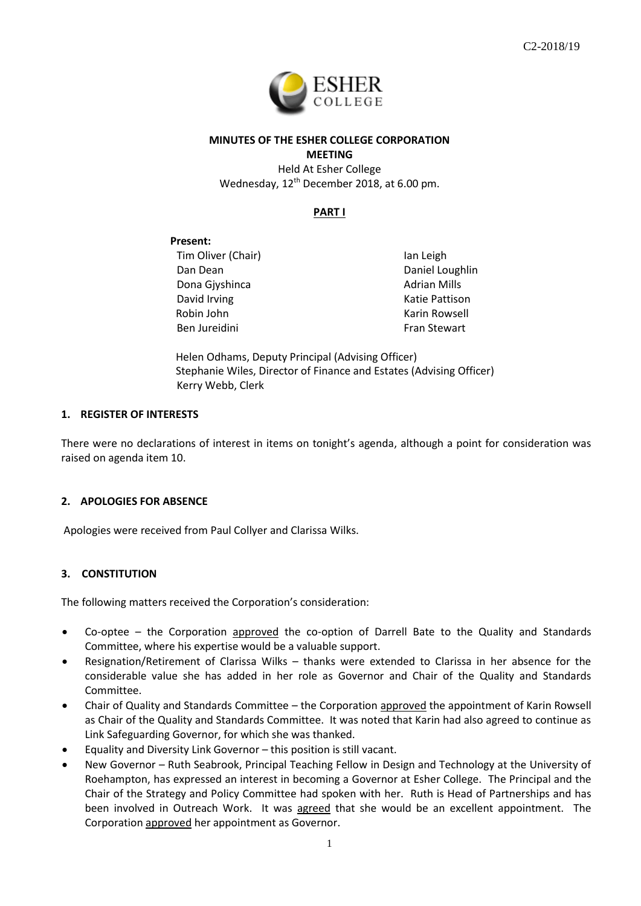

# **MINUTES OF THE ESHER COLLEGE CORPORATION MEETING**

Held At Esher College Wednesday, 12 th December 2018, at 6.00 pm.

# **PART I**

#### **Present:**

Tim Oliver (Chair) Dan Dean Dona Gjyshinca David Irving Robin John Ben Jureidini

Ian Leigh Daniel Loughlin Adrian Mills Katie Pattison Karin Rowsell Fran Stewart

Helen Odhams, Deputy Principal (Advising Officer) Stephanie Wiles, Director of Finance and Estates (Advising Officer) Kerry Webb, Clerk

#### **1. REGISTER OF INTERESTS**

There were no declarations of interest in items on tonight's agenda, although a point for consideration was raised on agenda item 10.

#### **2. APOLOGIES FOR ABSENCE**

Apologies were received from Paul Collyer and Clarissa Wilks.

# **3. CONSTITUTION**

The following matters received the Corporation's consideration:

- Co-optee the Corporation approved the co-option of Darrell Bate to the Quality and Standards Committee, where his expertise would be a valuable support.
- Resignation/Retirement of Clarissa Wilks thanks were extended to Clarissa in her absence for the considerable value she has added in her role as Governor and Chair of the Quality and Standards Committee.
- Chair of Quality and Standards Committee the Corporation approved the appointment of Karin Rowsell as Chair of the Quality and Standards Committee. It was noted that Karin had also agreed to continue as Link Safeguarding Governor, for which she was thanked.
- Equality and Diversity Link Governor this position is still vacant.
- New Governor Ruth Seabrook, Principal Teaching Fellow in Design and Technology at the University of Roehampton, has expressed an interest in becoming a Governor at Esher College. The Principal and the Chair of the Strategy and Policy Committee had spoken with her. Ruth is Head of Partnerships and has been involved in Outreach Work. It was agreed that she would be an excellent appointment. The Corporation approved her appointment as Governor.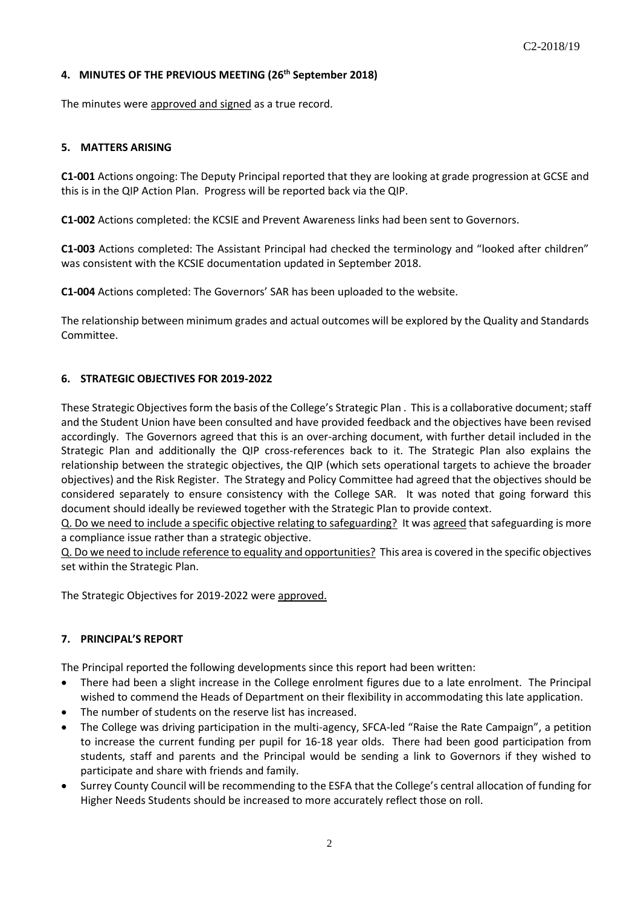### **4. MINUTES OF THE PREVIOUS MEETING (26 th September 2018)**

The minutes were approved and signed as a true record.

### **5. MATTERS ARISING**

**C1-001** Actions ongoing: The Deputy Principal reported that they are looking at grade progression at GCSE and this is in the QIP Action Plan. Progress will be reported back via the QIP.

**C1-002** Actions completed: the KCSIE and Prevent Awareness links had been sent to Governors.

**C1-003** Actions completed: The Assistant Principal had checked the terminology and "looked after children" was consistent with the KCSIE documentation updated in September 2018.

**C1-004** Actions completed: The Governors' SAR has been uploaded to the website.

The relationship between minimum grades and actual outcomes will be explored by the Quality and Standards Committee.

## **6. STRATEGIC OBJECTIVES FOR 2019-2022**

These Strategic Objectives form the basis of the College's Strategic Plan . This is a collaborative document; staff and the Student Union have been consulted and have provided feedback and the objectives have been revised accordingly. The Governors agreed that this is an over-arching document, with further detail included in the Strategic Plan and additionally the QIP cross-references back to it. The Strategic Plan also explains the relationship between the strategic objectives, the QIP (which sets operational targets to achieve the broader objectives) and the Risk Register. The Strategy and Policy Committee had agreed that the objectives should be considered separately to ensure consistency with the College SAR. It was noted that going forward this document should ideally be reviewed together with the Strategic Plan to provide context.

Q. Do we need to include a specific objective relating to safeguarding? It was agreed that safeguarding is more a compliance issue rather than a strategic objective.

Q. Do we need to include reference to equality and opportunities? This area is covered in the specific objectives set within the Strategic Plan.

The Strategic Objectives for 2019-2022 were approved.

#### **7. PRINCIPAL'S REPORT**

The Principal reported the following developments since this report had been written:

- There had been a slight increase in the College enrolment figures due to a late enrolment. The Principal wished to commend the Heads of Department on their flexibility in accommodating this late application.
- The number of students on the reserve list has increased.
- The College was driving participation in the multi-agency, SFCA-led "Raise the Rate Campaign", a petition to increase the current funding per pupil for 16-18 year olds. There had been good participation from students, staff and parents and the Principal would be sending a link to Governors if they wished to participate and share with friends and family.
- Surrey County Council will be recommending to the ESFA that the College's central allocation of funding for Higher Needs Students should be increased to more accurately reflect those on roll.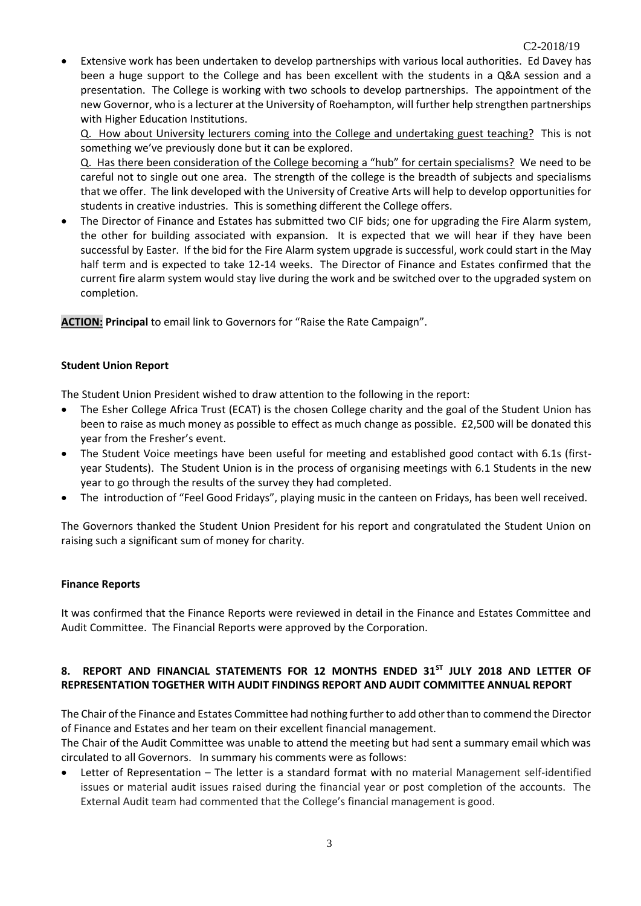• Extensive work has been undertaken to develop partnerships with various local authorities. Ed Davey has been a huge support to the College and has been excellent with the students in a Q&A session and a presentation. The College is working with two schools to develop partnerships. The appointment of the new Governor, who is a lecturer at the University of Roehampton, will further help strengthen partnerships with Higher Education Institutions.

Q. How about University lecturers coming into the College and undertaking guest teaching? This is not something we've previously done but it can be explored.

Q. Has there been consideration of the College becoming a "hub" for certain specialisms? We need to be careful not to single out one area. The strength of the college is the breadth of subjects and specialisms that we offer. The link developed with the University of Creative Arts will help to develop opportunities for students in creative industries. This is something different the College offers.

• The Director of Finance and Estates has submitted two CIF bids; one for upgrading the Fire Alarm system, the other for building associated with expansion. It is expected that we will hear if they have been successful by Easter. If the bid for the Fire Alarm system upgrade is successful, work could start in the May half term and is expected to take 12-14 weeks. The Director of Finance and Estates confirmed that the current fire alarm system would stay live during the work and be switched over to the upgraded system on completion.

**ACTION: Principal** to email link to Governors for "Raise the Rate Campaign".

#### **Student Union Report**

The Student Union President wished to draw attention to the following in the report:

- The Esher College Africa Trust (ECAT) is the chosen College charity and the goal of the Student Union has been to raise as much money as possible to effect as much change as possible. £2,500 will be donated this year from the Fresher's event.
- The Student Voice meetings have been useful for meeting and established good contact with 6.1s (firstyear Students). The Student Union is in the process of organising meetings with 6.1 Students in the new year to go through the results of the survey they had completed.
- The introduction of "Feel Good Fridays", playing music in the canteen on Fridays, has been well received.

The Governors thanked the Student Union President for his report and congratulated the Student Union on raising such a significant sum of money for charity.

#### **Finance Reports**

It was confirmed that the Finance Reports were reviewed in detail in the Finance and Estates Committee and Audit Committee. The Financial Reports were approved by the Corporation.

# **8. REPORT AND FINANCIAL STATEMENTS FOR 12 MONTHS ENDED 31ST JULY 2018 AND LETTER OF REPRESENTATION TOGETHER WITH AUDIT FINDINGS REPORT AND AUDIT COMMITTEE ANNUAL REPORT**

The Chair of the Finance and Estates Committee had nothing further to add other than to commend the Director of Finance and Estates and her team on their excellent financial management.

The Chair of the Audit Committee was unable to attend the meeting but had sent a summary email which was circulated to all Governors. In summary his comments were as follows:

• Letter of Representation – The letter is a standard format with no material Management self-identified issues or material audit issues raised during the financial year or post completion of the accounts. The External Audit team had commented that the College's financial management is good.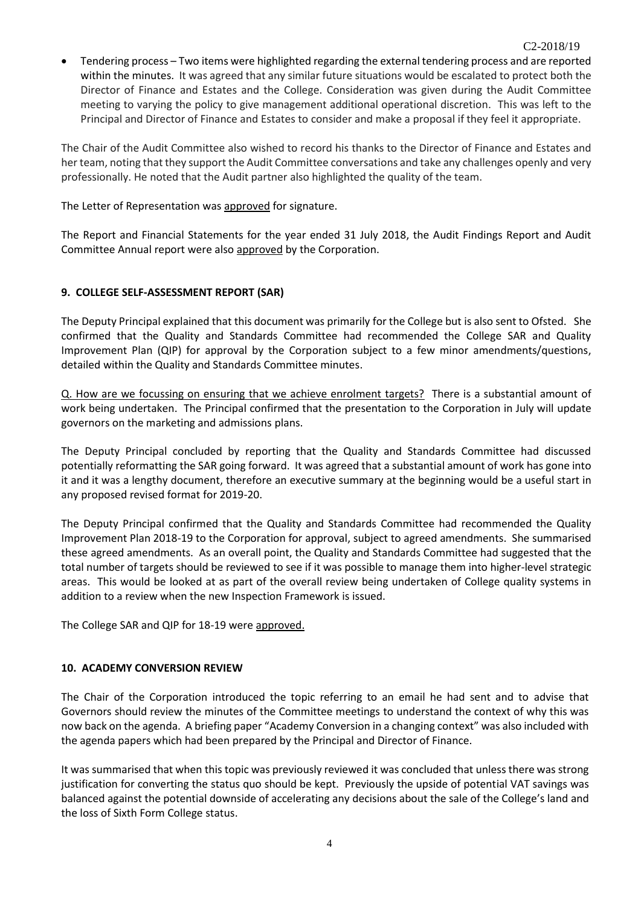• Tendering process – Two items were highlighted regarding the external tendering process and are reported within the minutes. It was agreed that any similar future situations would be escalated to protect both the Director of Finance and Estates and the College. Consideration was given during the Audit Committee meeting to varying the policy to give management additional operational discretion. This was left to the Principal and Director of Finance and Estates to consider and make a proposal if they feel it appropriate.

The Chair of the Audit Committee also wished to record his thanks to the Director of Finance and Estates and her team, noting that they support the Audit Committee conversations and take any challenges openly and very professionally. He noted that the Audit partner also highlighted the quality of the team.

The Letter of Representation was approved for signature.

The Report and Financial Statements for the year ended 31 July 2018, the Audit Findings Report and Audit Committee Annual report were also approved by the Corporation.

## **9. COLLEGE SELF-ASSESSMENT REPORT (SAR)**

The Deputy Principal explained that this document was primarily for the College but is also sent to Ofsted. She confirmed that the Quality and Standards Committee had recommended the College SAR and Quality Improvement Plan (QIP) for approval by the Corporation subject to a few minor amendments/questions, detailed within the Quality and Standards Committee minutes.

Q. How are we focussing on ensuring that we achieve enrolment targets? There is a substantial amount of work being undertaken. The Principal confirmed that the presentation to the Corporation in July will update governors on the marketing and admissions plans.

The Deputy Principal concluded by reporting that the Quality and Standards Committee had discussed potentially reformatting the SAR going forward. It was agreed that a substantial amount of work has gone into it and it was a lengthy document, therefore an executive summary at the beginning would be a useful start in any proposed revised format for 2019-20.

The Deputy Principal confirmed that the Quality and Standards Committee had recommended the Quality Improvement Plan 2018-19 to the Corporation for approval, subject to agreed amendments. She summarised these agreed amendments. As an overall point, the Quality and Standards Committee had suggested that the total number of targets should be reviewed to see if it was possible to manage them into higher-level strategic areas. This would be looked at as part of the overall review being undertaken of College quality systems in addition to a review when the new Inspection Framework is issued.

The College SAR and QIP for 18-19 were approved.

#### **10. ACADEMY CONVERSION REVIEW**

The Chair of the Corporation introduced the topic referring to an email he had sent and to advise that Governors should review the minutes of the Committee meetings to understand the context of why this was now back on the agenda. A briefing paper "Academy Conversion in a changing context" was also included with the agenda papers which had been prepared by the Principal and Director of Finance.

It was summarised that when this topic was previously reviewed it was concluded that unless there was strong justification for converting the status quo should be kept. Previously the upside of potential VAT savings was balanced against the potential downside of accelerating any decisions about the sale of the College's land and the loss of Sixth Form College status.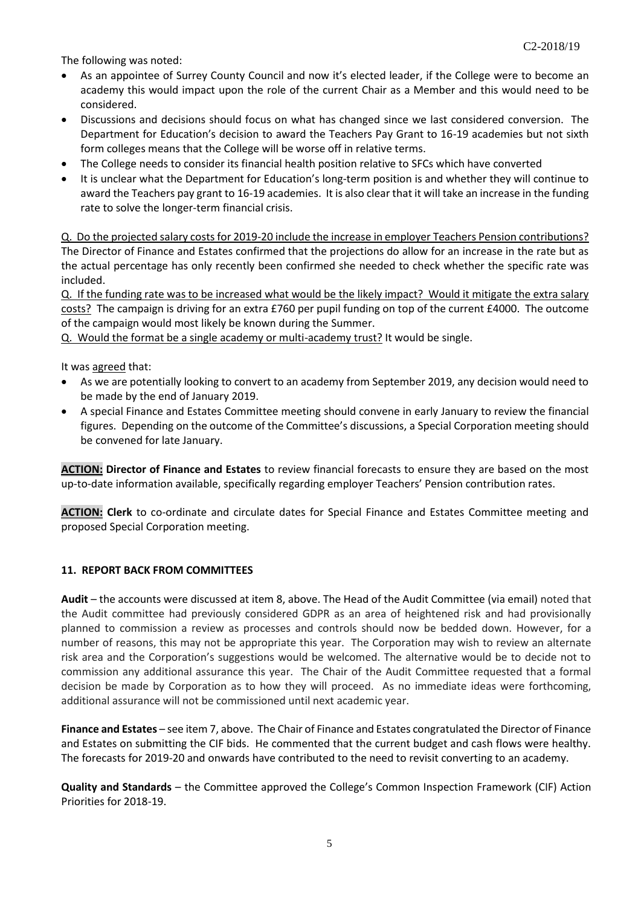The following was noted:

- As an appointee of Surrey County Council and now it's elected leader, if the College were to become an academy this would impact upon the role of the current Chair as a Member and this would need to be considered.
- Discussions and decisions should focus on what has changed since we last considered conversion. The Department for Education's decision to award the Teachers Pay Grant to 16-19 academies but not sixth form colleges means that the College will be worse off in relative terms.
- The College needs to consider its financial health position relative to SFCs which have converted
- It is unclear what the Department for Education's long-term position is and whether they will continue to award the Teachers pay grant to 16-19 academies. It is also clear that it will take an increase in the funding rate to solve the longer-term financial crisis.

Q. Do the projected salary costs for 2019-20 include the increase in employer Teachers Pension contributions? The Director of Finance and Estates confirmed that the projections do allow for an increase in the rate but as the actual percentage has only recently been confirmed she needed to check whether the specific rate was included.

Q. If the funding rate was to be increased what would be the likely impact? Would it mitigate the extra salary costs? The campaign is driving for an extra £760 per pupil funding on top of the current £4000. The outcome of the campaign would most likely be known during the Summer.

Q. Would the format be a single academy or multi-academy trust? It would be single.

It was agreed that:

- As we are potentially looking to convert to an academy from September 2019, any decision would need to be made by the end of January 2019.
- A special Finance and Estates Committee meeting should convene in early January to review the financial figures. Depending on the outcome of the Committee's discussions, a Special Corporation meeting should be convened for late January.

**ACTION: Director of Finance and Estates** to review financial forecasts to ensure they are based on the most up-to-date information available, specifically regarding employer Teachers' Pension contribution rates.

**ACTION: Clerk** to co-ordinate and circulate dates for Special Finance and Estates Committee meeting and proposed Special Corporation meeting.

#### **11. REPORT BACK FROM COMMITTEES**

**Audit** – the accounts were discussed at item 8, above. The Head of the Audit Committee (via email) noted that the Audit committee had previously considered GDPR as an area of heightened risk and had provisionally planned to commission a review as processes and controls should now be bedded down. However, for a number of reasons, this may not be appropriate this year. The Corporation may wish to review an alternate risk area and the Corporation's suggestions would be welcomed. The alternative would be to decide not to commission any additional assurance this year. The Chair of the Audit Committee requested that a formal decision be made by Corporation as to how they will proceed. As no immediate ideas were forthcoming, additional assurance will not be commissioned until next academic year.

**Finance and Estates** – see item 7, above. The Chair of Finance and Estates congratulated the Director of Finance and Estates on submitting the CIF bids. He commented that the current budget and cash flows were healthy. The forecasts for 2019-20 and onwards have contributed to the need to revisit converting to an academy.

**Quality and Standards** – the Committee approved the College's Common Inspection Framework (CIF) Action Priorities for 2018-19.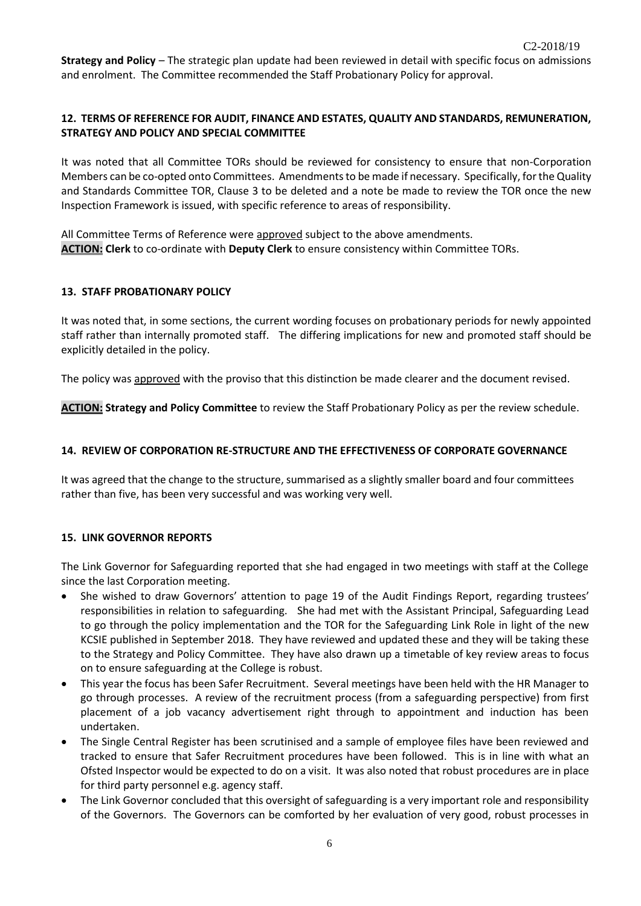**Strategy and Policy** – The strategic plan update had been reviewed in detail with specific focus on admissions and enrolment. The Committee recommended the Staff Probationary Policy for approval.

#### **12. TERMS OF REFERENCE FOR AUDIT, FINANCE AND ESTATES, QUALITY AND STANDARDS, REMUNERATION, STRATEGY AND POLICY AND SPECIAL COMMITTEE**

It was noted that all Committee TORs should be reviewed for consistency to ensure that non-Corporation Members can be co-opted onto Committees. Amendments to be made if necessary. Specifically, for the Quality and Standards Committee TOR, Clause 3 to be deleted and a note be made to review the TOR once the new Inspection Framework is issued, with specific reference to areas of responsibility.

All Committee Terms of Reference were approved subject to the above amendments. **ACTION: Clerk** to co-ordinate with **Deputy Clerk** to ensure consistency within Committee TORs.

#### **13. STAFF PROBATIONARY POLICY**

It was noted that, in some sections, the current wording focuses on probationary periods for newly appointed staff rather than internally promoted staff. The differing implications for new and promoted staff should be explicitly detailed in the policy.

The policy was approved with the proviso that this distinction be made clearer and the document revised.

**ACTION: Strategy and Policy Committee** to review the Staff Probationary Policy as per the review schedule.

#### **14. REVIEW OF CORPORATION RE-STRUCTURE AND THE EFFECTIVENESS OF CORPORATE GOVERNANCE**

It was agreed that the change to the structure, summarised as a slightly smaller board and four committees rather than five, has been very successful and was working very well.

#### **15. LINK GOVERNOR REPORTS**

The Link Governor for Safeguarding reported that she had engaged in two meetings with staff at the College since the last Corporation meeting.

- She wished to draw Governors' attention to page 19 of the Audit Findings Report, regarding trustees' responsibilities in relation to safeguarding. She had met with the Assistant Principal, Safeguarding Lead to go through the policy implementation and the TOR for the Safeguarding Link Role in light of the new KCSIE published in September 2018. They have reviewed and updated these and they will be taking these to the Strategy and Policy Committee. They have also drawn up a timetable of key review areas to focus on to ensure safeguarding at the College is robust.
- This year the focus has been Safer Recruitment. Several meetings have been held with the HR Manager to go through processes. A review of the recruitment process (from a safeguarding perspective) from first placement of a job vacancy advertisement right through to appointment and induction has been undertaken.
- The Single Central Register has been scrutinised and a sample of employee files have been reviewed and tracked to ensure that Safer Recruitment procedures have been followed. This is in line with what an Ofsted Inspector would be expected to do on a visit. It was also noted that robust procedures are in place for third party personnel e.g. agency staff.
- The Link Governor concluded that this oversight of safeguarding is a very important role and responsibility of the Governors. The Governors can be comforted by her evaluation of very good, robust processes in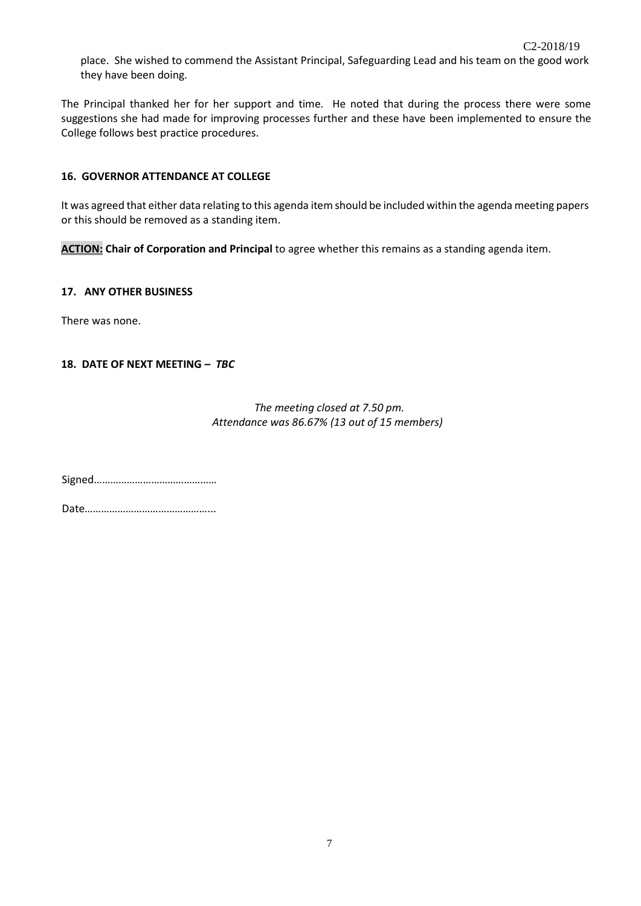place. She wished to commend the Assistant Principal, Safeguarding Lead and his team on the good work they have been doing.

The Principal thanked her for her support and time. He noted that during the process there were some suggestions she had made for improving processes further and these have been implemented to ensure the College follows best practice procedures.

#### **16. GOVERNOR ATTENDANCE AT COLLEGE**

It was agreed that either data relating to this agenda item should be included within the agenda meeting papers or this should be removed as a standing item.

**ACTION: Chair of Corporation and Principal** to agree whether this remains as a standing agenda item.

#### **17. ANY OTHER BUSINESS**

There was none.

## **18. DATE OF NEXT MEETING –** *TBC*

# *The meeting closed at 7.50 pm. Attendance was 86.67% (13 out of 15 members)*

Signed………………………………………

Date………………………………………...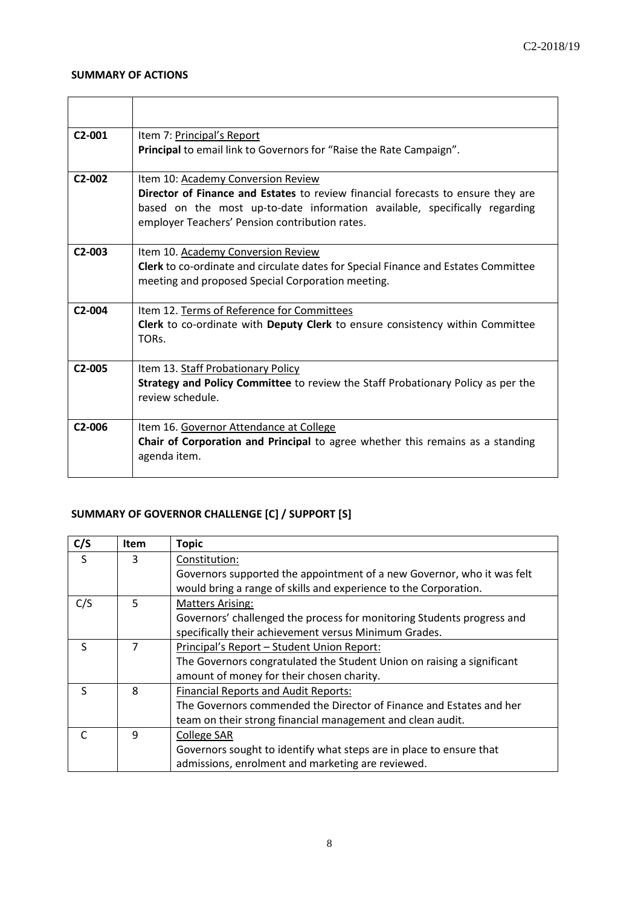7

#### **SUMMARY OF ACTIONS**

 $\blacksquare$ 

| $C2-001$            | Item 7: Principal's Report<br>Principal to email link to Governors for "Raise the Rate Campaign".                                                              |
|---------------------|----------------------------------------------------------------------------------------------------------------------------------------------------------------|
|                     |                                                                                                                                                                |
| $C2-002$            | Item 10: Academy Conversion Review                                                                                                                             |
|                     | Director of Finance and Estates to review financial forecasts to ensure they are<br>based on the most up-to-date information available, specifically regarding |
|                     | employer Teachers' Pension contribution rates.                                                                                                                 |
| $C2-003$            | Item 10. Academy Conversion Review                                                                                                                             |
|                     | <b>Clerk</b> to co-ordinate and circulate dates for Special Finance and Estates Committee                                                                      |
|                     | meeting and proposed Special Corporation meeting.                                                                                                              |
| $C2-004$            | Item 12. Terms of Reference for Committees                                                                                                                     |
|                     | <b>Clerk</b> to co-ordinate with <b>Deputy Clerk</b> to ensure consistency within Committee<br>TOR <sub>S</sub>                                                |
|                     |                                                                                                                                                                |
| C <sub>2</sub> -005 | Item 13. Staff Probationary Policy                                                                                                                             |
|                     | Strategy and Policy Committee to review the Staff Probationary Policy as per the<br>review schedule.                                                           |
|                     |                                                                                                                                                                |
| $C2-006$            | Item 16. Governor Attendance at College                                                                                                                        |
|                     | Chair of Corporation and Principal to agree whether this remains as a standing                                                                                 |
|                     | agenda item.                                                                                                                                                   |

# **SUMMARY OF GOVERNOR CHALLENGE [C] / SUPPORT [S]**

| C/S       | <b>Item</b> | <b>Topic</b>                                                           |
|-----------|-------------|------------------------------------------------------------------------|
| S         | 3           | Constitution:                                                          |
|           |             | Governors supported the appointment of a new Governor, who it was felt |
|           |             | would bring a range of skills and experience to the Corporation.       |
| C/S       | 5           | <b>Matters Arising:</b>                                                |
|           |             | Governors' challenged the process for monitoring Students progress and |
|           |             | specifically their achievement versus Minimum Grades.                  |
| S         | 7           | Principal's Report - Student Union Report:                             |
|           |             | The Governors congratulated the Student Union on raising a significant |
|           |             | amount of money for their chosen charity.                              |
| S         | 8           | <b>Financial Reports and Audit Reports:</b>                            |
|           |             | The Governors commended the Director of Finance and Estates and her    |
|           |             | team on their strong financial management and clean audit.             |
| $\subset$ | 9           | <b>College SAR</b>                                                     |
|           |             | Governors sought to identify what steps are in place to ensure that    |
|           |             | admissions, enrolment and marketing are reviewed.                      |